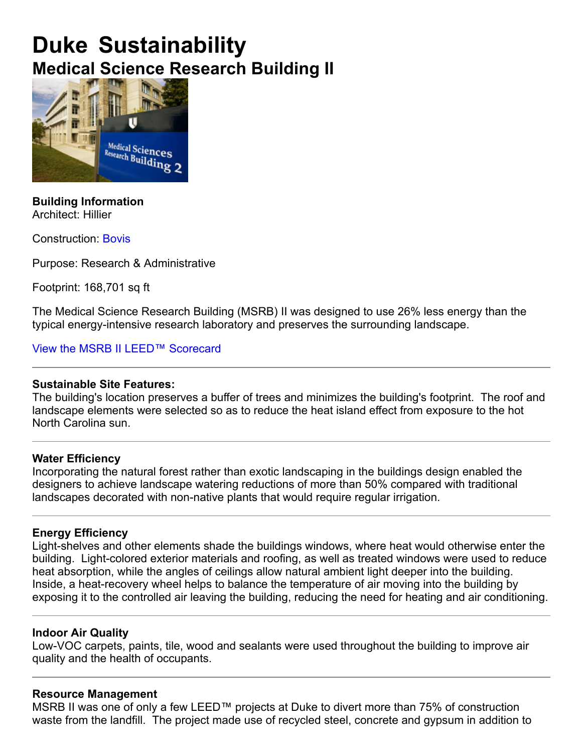### **Duke Sustainability Medical Science Research Building II**



**Building Information** Architect: Hillier

Construction: Bovis

Purpose: Research & Administrative

Footprint: 168,701 sq ft

The Medical Science Research Building (MSRB) II was designed to use 26% less energy than the typical energy-intensive research laboratory and preserves the surrounding landscape.

View the MSRB II LEED™ Scorecard

#### **Sustainable Site Features:**

The building's location preserves a buffer of trees and minimizes the building's footprint. The roof and landscape elements were selected so as to reduce the heat island effect from exposure to the hot North Carolina sun.

#### **Water Efficiency**

Incorporating the natural forest rather than exotic landscaping in the buildings design enabled the designers to achieve landscape watering reductions of more than 50% compared with traditional landscapes decorated with non-native plants that would require regular irrigation.

#### **Energy Efficiency**

Light-shelves and other elements shade the buildings windows, where heat would otherwise enter the building. Light-colored exterior materials and roofing, as well as treated windows were used to reduce heat absorption, while the angles of ceilings allow natural ambient light deeper into the building. Inside, a heat-recovery wheel helps to balance the temperature of air moving into the building by exposing it to the controlled air leaving the building, reducing the need for heating and air conditioning.

#### **Indoor Air Quality**

Low-VOC carpets, paints, tile, wood and sealants were used throughout the building to improve air quality and the health of occupants.

#### **Resource Management**

MSRB II was one of only a few LEED™ projects at Duke to divert more than 75% of construction waste from the landfill. The project made use of recycled steel, concrete and gypsum in addition to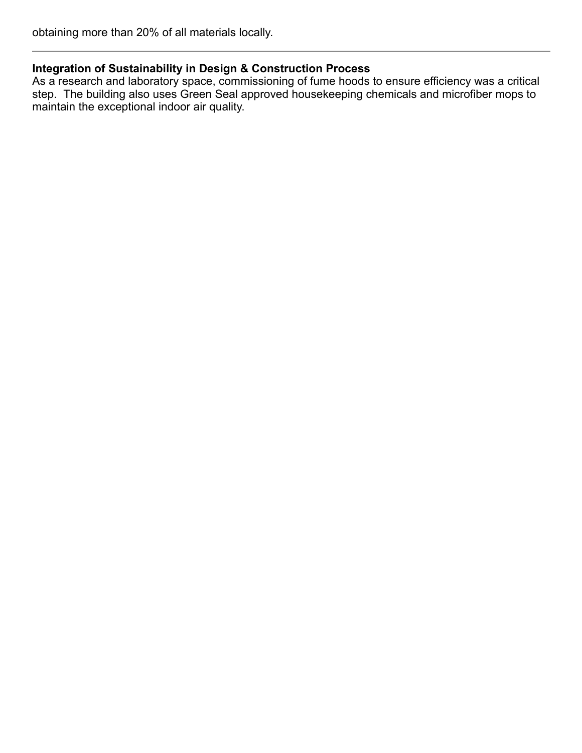#### **Integration of Sustainability in Design & Construction Process**

As a research and laboratory space, commissioning of fume hoods to ensure efficiency was a critical step. The building also uses Green Seal approved housekeeping chemicals and microfiber mops to maintain the exceptional indoor air quality.